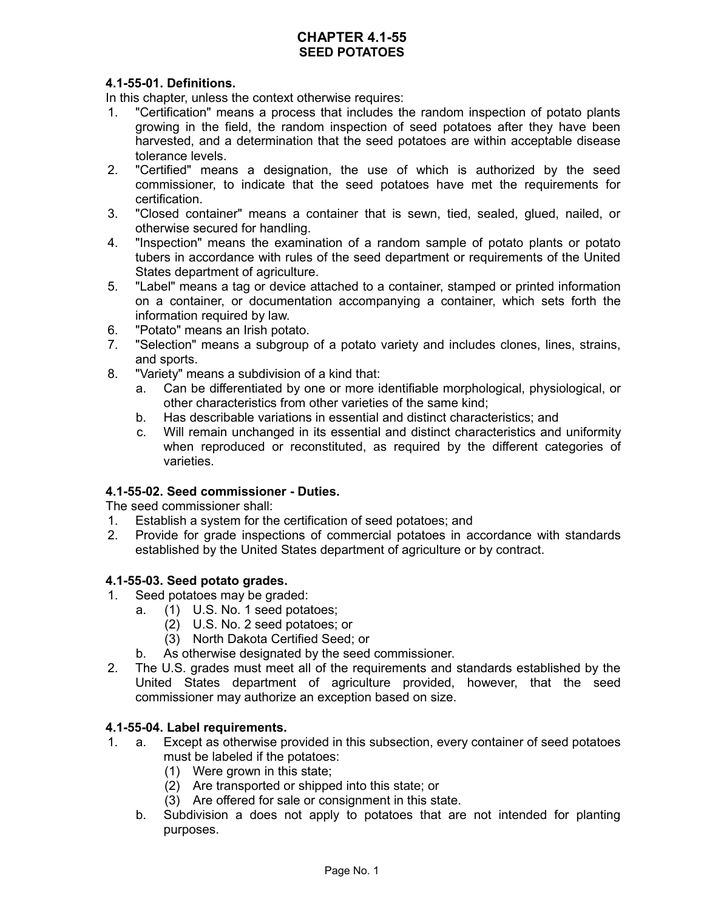### **CHAPTER 4.1-55 SEED POTATOES**

# **4.1-55-01. Definitions.**

In this chapter, unless the context otherwise requires:

- 1. "Certification" means a process that includes the random inspection of potato plants growing in the field, the random inspection of seed potatoes after they have been harvested, and a determination that the seed potatoes are within acceptable disease tolerance levels.
- 2. "Certified" means a designation, the use of which is authorized by the seed commissioner, to indicate that the seed potatoes have met the requirements for certification.
- 3. "Closed container" means a container that is sewn, tied, sealed, glued, nailed, or otherwise secured for handling.
- 4. "Inspection" means the examination of a random sample of potato plants or potato tubers in accordance with rules of the seed department or requirements of the United States department of agriculture.
- 5. "Label" means a tag or device attached to a container, stamped or printed information on a container, or documentation accompanying a container, which sets forth the information required by law.
- 6. "Potato" means an Irish potato.
- 7. "Selection" means a subgroup of a potato variety and includes clones, lines, strains, and sports.
- 8. "Variety" means a subdivision of a kind that:
	- a. Can be differentiated by one or more identifiable morphological, physiological, or other characteristics from other varieties of the same kind;
	- b. Has describable variations in essential and distinct characteristics; and
	- c. Will remain unchanged in its essential and distinct characteristics and uniformity when reproduced or reconstituted, as required by the different categories of varieties.

### **4.1-55-02. Seed commissioner - Duties.**

The seed commissioner shall:

- 1. Establish a system for the certification of seed potatoes; and
- 2. Provide for grade inspections of commercial potatoes in accordance with standards established by the United States department of agriculture or by contract.

### **4.1-55-03. Seed potato grades.**

- 1. Seed potatoes may be graded:
	- a. (1) U.S. No. 1 seed potatoes;
		- (2) U.S. No. 2 seed potatoes; or
		- (3) North Dakota Certified Seed; or
	- b. As otherwise designated by the seed commissioner.
- 2. The U.S. grades must meet all of the requirements and standards established by the United States department of agriculture provided, however, that the seed commissioner may authorize an exception based on size.

#### **4.1-55-04. Label requirements.**

- 1. a. Except as otherwise provided in this subsection, every container of seed potatoes must be labeled if the potatoes:
	- (1) Were grown in this state;
	- (2) Are transported or shipped into this state; or
	- (3) Are offered for sale or consignment in this state.
	- b. Subdivision a does not apply to potatoes that are not intended for planting purposes.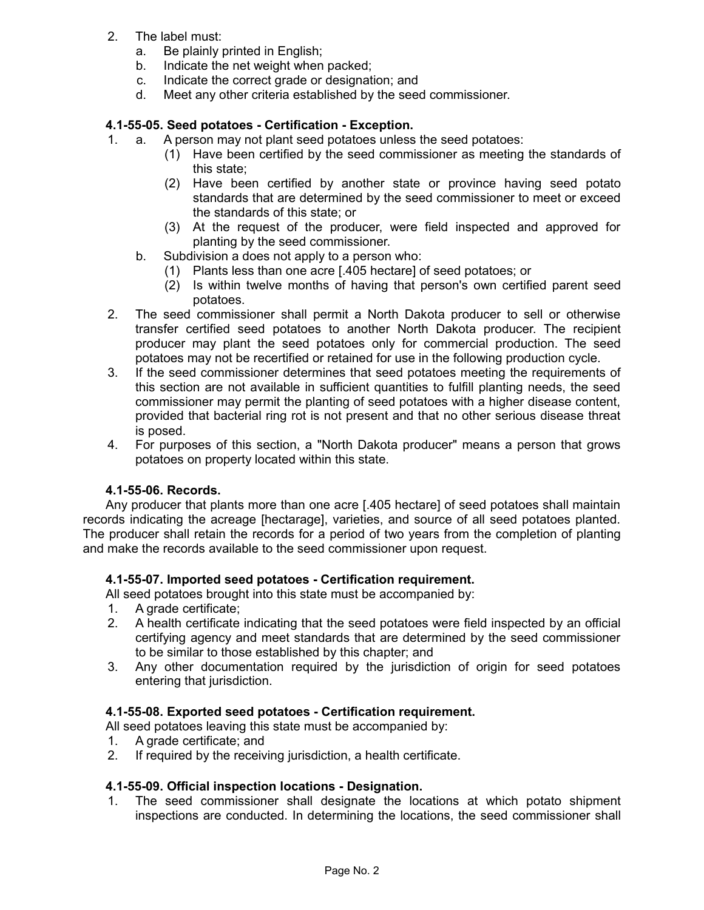- 2. The label must:
	- a. Be plainly printed in English;
	- b. Indicate the net weight when packed;
	- c. Indicate the correct grade or designation; and
	- d. Meet any other criteria established by the seed commissioner.

# **4.1-55-05. Seed potatoes - Certification - Exception.**

- 1. a. A person may not plant seed potatoes unless the seed potatoes:
	- (1) Have been certified by the seed commissioner as meeting the standards of this state;
	- (2) Have been certified by another state or province having seed potato standards that are determined by the seed commissioner to meet or exceed the standards of this state; or
	- (3) At the request of the producer, were field inspected and approved for planting by the seed commissioner.
	- b. Subdivision a does not apply to a person who:
		- (1) Plants less than one acre [.405 hectare] of seed potatoes; or
		- (2) Is within twelve months of having that person's own certified parent seed potatoes.
- 2. The seed commissioner shall permit a North Dakota producer to sell or otherwise transfer certified seed potatoes to another North Dakota producer. The recipient producer may plant the seed potatoes only for commercial production. The seed potatoes may not be recertified or retained for use in the following production cycle.
- 3. If the seed commissioner determines that seed potatoes meeting the requirements of this section are not available in sufficient quantities to fulfill planting needs, the seed commissioner may permit the planting of seed potatoes with a higher disease content, provided that bacterial ring rot is not present and that no other serious disease threat is posed.
- 4. For purposes of this section, a "North Dakota producer" means a person that grows potatoes on property located within this state.

### **4.1-55-06. Records.**

Any producer that plants more than one acre [.405 hectare] of seed potatoes shall maintain records indicating the acreage [hectarage], varieties, and source of all seed potatoes planted. The producer shall retain the records for a period of two years from the completion of planting and make the records available to the seed commissioner upon request.

### **4.1-55-07. Imported seed potatoes - Certification requirement.**

All seed potatoes brought into this state must be accompanied by:

- 1. A grade certificate;
- 2. A health certificate indicating that the seed potatoes were field inspected by an official certifying agency and meet standards that are determined by the seed commissioner to be similar to those established by this chapter; and
- 3. Any other documentation required by the jurisdiction of origin for seed potatoes entering that jurisdiction.

### **4.1-55-08. Exported seed potatoes - Certification requirement.**

All seed potatoes leaving this state must be accompanied by:

- 1. A grade certificate; and
- 2. If required by the receiving jurisdiction, a health certificate.

### **4.1-55-09. Official inspection locations - Designation.**

1. The seed commissioner shall designate the locations at which potato shipment inspections are conducted. In determining the locations, the seed commissioner shall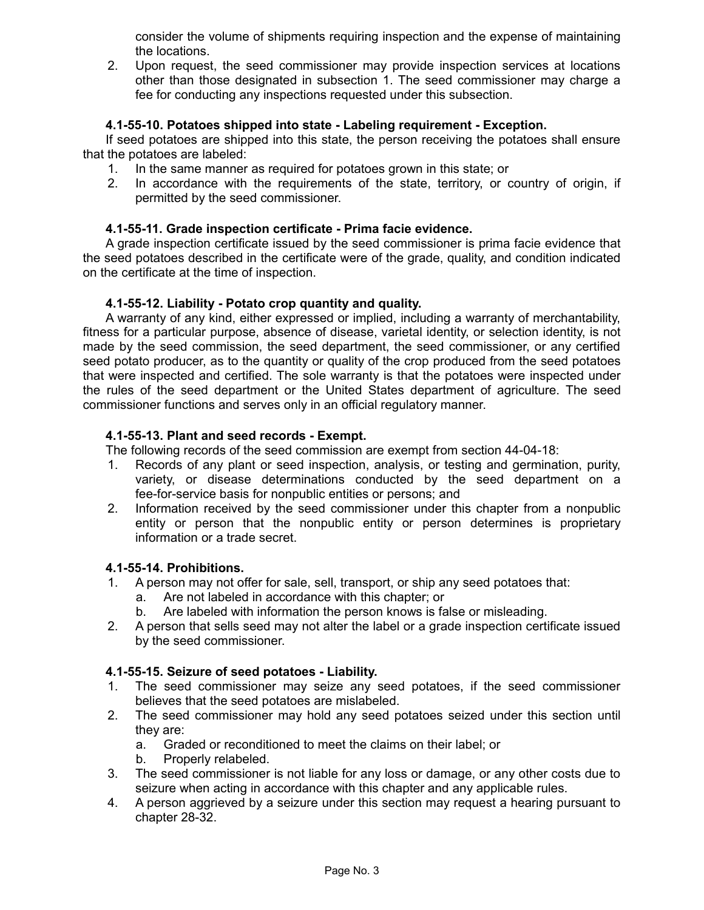consider the volume of shipments requiring inspection and the expense of maintaining the locations.

2. Upon request, the seed commissioner may provide inspection services at locations other than those designated in subsection 1. The seed commissioner may charge a fee for conducting any inspections requested under this subsection.

### **4.1-55-10. Potatoes shipped into state - Labeling requirement - Exception.**

If seed potatoes are shipped into this state, the person receiving the potatoes shall ensure that the potatoes are labeled:

- 1. In the same manner as required for potatoes grown in this state; or
- 2. In accordance with the requirements of the state, territory, or country of origin, if permitted by the seed commissioner.

## **4.1-55-11. Grade inspection certificate - Prima facie evidence.**

A grade inspection certificate issued by the seed commissioner is prima facie evidence that the seed potatoes described in the certificate were of the grade, quality, and condition indicated on the certificate at the time of inspection.

### **4.1-55-12. Liability - Potato crop quantity and quality.**

A warranty of any kind, either expressed or implied, including a warranty of merchantability, fitness for a particular purpose, absence of disease, varietal identity, or selection identity, is not made by the seed commission, the seed department, the seed commissioner, or any certified seed potato producer, as to the quantity or quality of the crop produced from the seed potatoes that were inspected and certified. The sole warranty is that the potatoes were inspected under the rules of the seed department or the United States department of agriculture. The seed commissioner functions and serves only in an official regulatory manner.

# **4.1-55-13. Plant and seed records - Exempt.**

- The following records of the seed commission are exempt from section 44-04-18:
- 1. Records of any plant or seed inspection, analysis, or testing and germination, purity, variety, or disease determinations conducted by the seed department on a fee-for-service basis for nonpublic entities or persons; and
- 2. Information received by the seed commissioner under this chapter from a nonpublic entity or person that the nonpublic entity or person determines is proprietary information or a trade secret.

## **4.1-55-14. Prohibitions.**

- 1. A person may not offer for sale, sell, transport, or ship any seed potatoes that:
	- a. Are not labeled in accordance with this chapter; or
	- b. Are labeled with information the person knows is false or misleading.
- 2. A person that sells seed may not alter the label or a grade inspection certificate issued by the seed commissioner.

### **4.1-55-15. Seizure of seed potatoes - Liability.**

- 1. The seed commissioner may seize any seed potatoes, if the seed commissioner believes that the seed potatoes are mislabeled.
- 2. The seed commissioner may hold any seed potatoes seized under this section until they are:
	- a. Graded or reconditioned to meet the claims on their label; or
	- b. Properly relabeled.
- 3. The seed commissioner is not liable for any loss or damage, or any other costs due to seizure when acting in accordance with this chapter and any applicable rules.
- 4. A person aggrieved by a seizure under this section may request a hearing pursuant to chapter 28-32.